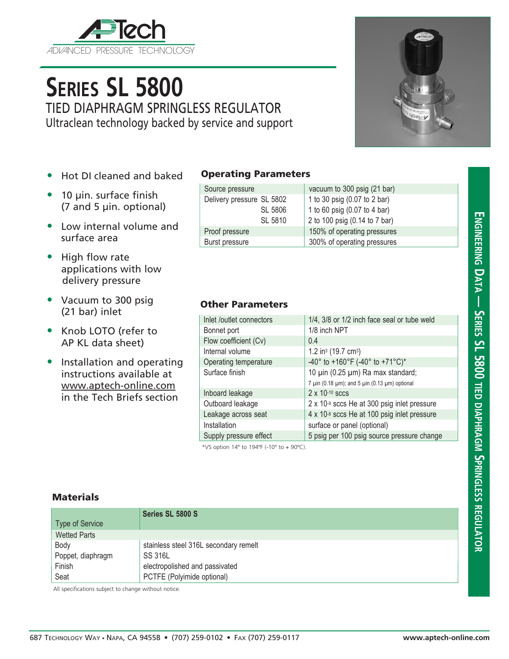

# **Series SL 5800**

TIED DIAPHRAGM SPRINGLESS REGULATOR Ultraclean technology backed by service and support

- Hot DI cleaned and baked
- 10 µin. surface finish (7 and 5 µin. optional)
- Low internal volume and surface area
- High flow rate applications with low delivery pressure
- Vacuum to 300 psig (21 bar) inlet
- Knob LOTO (refer to AP KL data sheet)
- Installation and operating instructions available at www.aptech-online.com in the Tech Briefs section

### Operating Parameters

| Source pressure           | vacuum to 300 psig (21 bar)   |  |
|---------------------------|-------------------------------|--|
| Delivery pressure SL 5802 | 1 to 30 psig (0.07 to 2 bar)  |  |
| SL 5806                   | 1 to 60 psig (0.07 to 4 bar)  |  |
| SL 5810                   | 2 to 100 psig (0.14 to 7 bar) |  |
| Proof pressure            | 150% of operating pressures   |  |
| Burst pressure            | 300% of operating pressures   |  |

## Other Parameters

| Inlet /outlet connectors | 1/4, 3/8 or 1/2 inch face seal or tube weld                       |  |
|--------------------------|-------------------------------------------------------------------|--|
| Bonnet port              | 1/8 inch NPT                                                      |  |
| Flow coefficient (Cv)    | 0.4                                                               |  |
| Internal volume          | 1.2 in <sup>3</sup> (19.7 cm <sup>3</sup> )                       |  |
| Operating temperature    | -40° to +160°F (-40° to +71°C)*                                   |  |
| Surface finish           | 10 µin (0.25 µm) Ra max standard;                                 |  |
|                          | 7 $\mu$ in (0.18 $\mu$ m); and 5 $\mu$ in (0.13 $\mu$ m) optional |  |
| Inboard leakage          | $2 \times 10^{-10}$ sccs                                          |  |
| Outboard leakage         | $2 \times 10^{-9}$ sccs He at 300 psig inlet pressure             |  |
| Leakage across seat      | 4 x 10-8 sccs He at 100 psig inlet pressure                       |  |
| Installation             | surface or panel (optional)                                       |  |
| Supply pressure effect   | 5 psig per 100 psig source pressure change                        |  |
|                          |                                                                   |  |

\*VS option 14º to 194ºF (-10º to + 90ºC).

### **Materials**

| <b>Type of Service</b> | Series SL 5800 S                      |
|------------------------|---------------------------------------|
| <b>Wetted Parts</b>    |                                       |
| Body                   | stainless steel 316L secondary remelt |
| Poppet, diaphragm      | SS 316L                               |
| Finish                 | electropolished and passivated        |
| Seat                   | PCTFE (Polyimide optional)            |

All specifications subject to change without notice.